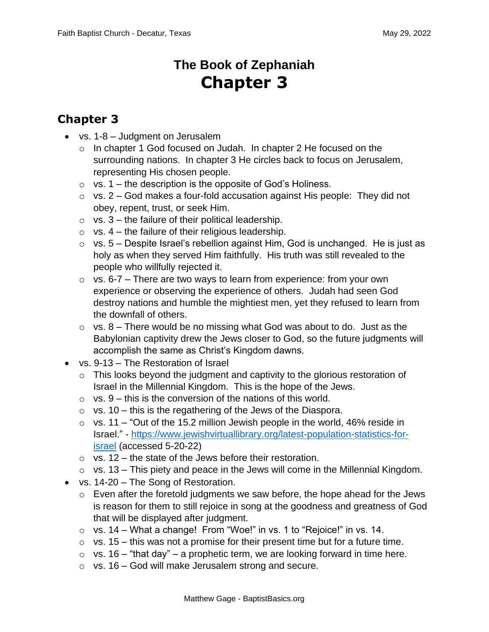## **The Book of Zephaniah Chapter 3**

## **Chapter 3**

- vs. 1-8 Judgment on Jerusalem
	- o In chapter 1 God focused on Judah. In chapter 2 He focused on the surrounding nations. In chapter 3 He circles back to focus on Jerusalem, representing His chosen people.
	- $\circ$  vs. 1 the description is the opposite of God's Holiness.
	- $\circ$  vs. 2 God makes a four-fold accusation against His people: They did not obey, repent, trust, or seek Him.
	- $\circ$  vs. 3 the failure of their political leadership.
	- $\circ$  vs. 4 the failure of their religious leadership.
	- $\circ$  vs. 5 Despite Israel's rebellion against Him, God is unchanged. He is just as holy as when they served Him faithfully. His truth was still revealed to the people who willfully rejected it.
	- $\circ$  vs. 6-7 There are two ways to learn from experience: from your own experience or observing the experience of others. Judah had seen God destroy nations and humble the mightiest men, yet they refused to learn from the downfall of others.
	- $\circ$  vs. 8 There would be no missing what God was about to do. Just as the Babylonian captivity drew the Jews closer to God, so the future judgments will accomplish the same as Christ's Kingdom dawns.
- vs. 9-13 The Restoration of Israel
	- $\circ$  This looks beyond the judgment and captivity to the glorious restoration of Israel in the Millennial Kingdom. This is the hope of the Jews.
	- $\circ$  vs. 9 this is the conversion of the nations of this world.
	- $\circ$  vs. 10 this is the regathering of the Jews of the Diaspora.
	- $\circ$  vs. 11 "Out of the 15.2 million Jewish people in the world, 46% reside in Israel." - [https://www.jewishvirtuallibrary.org/latest-population-statistics-for](https://www.jewishvirtuallibrary.org/latest-population-statistics-for-israel)[israel](https://www.jewishvirtuallibrary.org/latest-population-statistics-for-israel) (accessed 5-20-22)
	- $\circ$  vs. 12 the state of the Jews before their restoration.
	- $\circ$  vs. 13 This piety and peace in the Jews will come in the Millennial Kingdom.
- vs. 14-20 The Song of Restoration.
	- $\circ$  Even after the foretold judgments we saw before, the hope ahead for the Jews is reason for them to still rejoice in song at the goodness and greatness of God that will be displayed after judgment.
	- o vs. 14 What a change! From "Woe!" in vs. 1 to "Rejoice!" in vs. 14.
	- $\circ$  vs. 15 this was not a promise for their present time but for a future time.
	- $\circ$  vs. 16 "that day" a prophetic term, we are looking forward in time here.
	- $\circ$  vs. 16 God will make Jerusalem strong and secure.